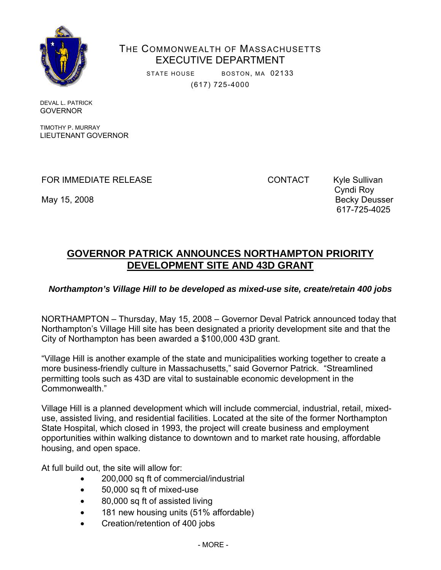

THE COMMONWEALTH OF MASSACHUSETTS EXECUTIVE DEPARTMENT

> STATE HOUSE BOSTON, MA 02133 (617) 725-4000

DEVAL L. PATRICK GOVERNOR

TIMOTHY P. MURRAY LIEUTENANT GOVERNOR

FOR IMMEDIATE RELEASE CONTACT Kyle Sullivan

 Cyndi Roy May 15, 2008 Becky Deusser 617-725-4025

## **GOVERNOR PATRICK ANNOUNCES NORTHAMPTON PRIORITY DEVELOPMENT SITE AND 43D GRANT**

## *Northampton's Village Hill to be developed as mixed-use site, create/retain 400 jobs*

NORTHAMPTON – Thursday, May 15, 2008 – Governor Deval Patrick announced today that Northampton's Village Hill site has been designated a priority development site and that the City of Northampton has been awarded a \$100,000 43D grant.

"Village Hill is another example of the state and municipalities working together to create a more business-friendly culture in Massachusetts," said Governor Patrick. "Streamlined permitting tools such as 43D are vital to sustainable economic development in the Commonwealth."

Village Hill is a planned development which will include commercial, industrial, retail, mixeduse, assisted living, and residential facilities. Located at the site of the former Northampton State Hospital, which closed in 1993, the project will create business and employment opportunities within walking distance to downtown and to market rate housing, affordable housing, and open space.

At full build out, the site will allow for:

- 200,000 sq ft of commercial/industrial
- 50,000 sq ft of mixed-use
- 80,000 sq ft of assisted living
- 181 new housing units (51% affordable)
- Creation/retention of 400 jobs